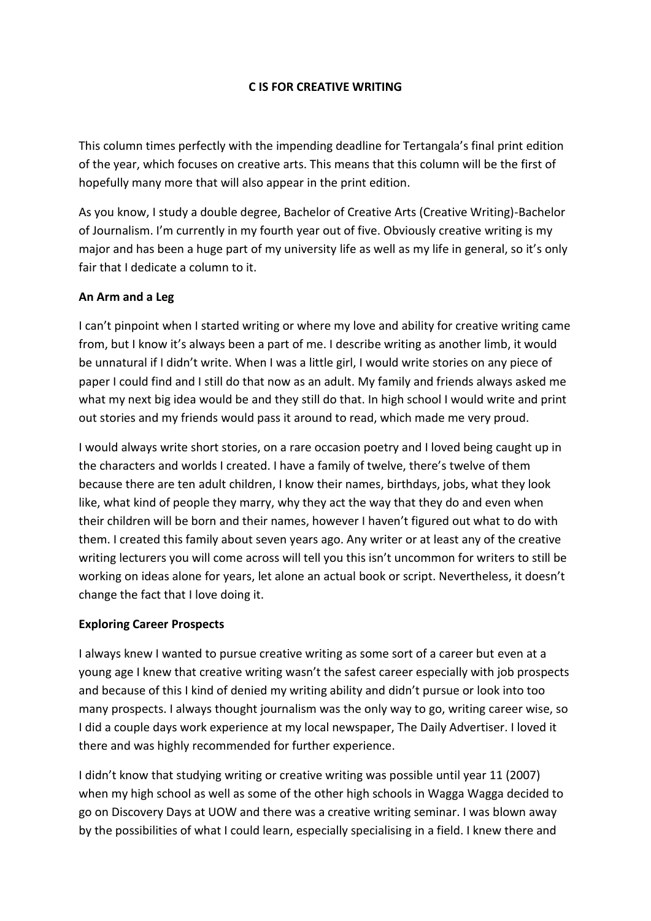### **C IS FOR CREATIVE WRITING**

This column times perfectly with the impending deadline for Tertangala's final print edition of the year, which focuses on creative arts. This means that this column will be the first of hopefully many more that will also appear in the print edition.

As you know, I study a double degree, Bachelor of Creative Arts (Creative Writing)-Bachelor of Journalism. I'm currently in my fourth year out of five. Obviously creative writing is my major and has been a huge part of my university life as well as my life in general, so it's only fair that I dedicate a column to it.

### **An Arm and a Leg**

I can't pinpoint when I started writing or where my love and ability for creative writing came from, but I know it's always been a part of me. I describe writing as another limb, it would be unnatural if I didn't write. When I was a little girl, I would write stories on any piece of paper I could find and I still do that now as an adult. My family and friends always asked me what my next big idea would be and they still do that. In high school I would write and print out stories and my friends would pass it around to read, which made me very proud.

I would always write short stories, on a rare occasion poetry and I loved being caught up in the characters and worlds I created. I have a family of twelve, there's twelve of them because there are ten adult children, I know their names, birthdays, jobs, what they look like, what kind of people they marry, why they act the way that they do and even when their children will be born and their names, however I haven't figured out what to do with them. I created this family about seven years ago. Any writer or at least any of the creative writing lecturers you will come across will tell you this isn't uncommon for writers to still be working on ideas alone for years, let alone an actual book or script. Nevertheless, it doesn't change the fact that I love doing it.

### **Exploring Career Prospects**

I always knew I wanted to pursue creative writing as some sort of a career but even at a young age I knew that creative writing wasn't the safest career especially with job prospects and because of this I kind of denied my writing ability and didn't pursue or look into too many prospects. I always thought journalism was the only way to go, writing career wise, so I did a couple days work experience at my local newspaper, The Daily Advertiser. I loved it there and was highly recommended for further experience.

I didn't know that studying writing or creative writing was possible until year 11 (2007) when my high school as well as some of the other high schools in Wagga Wagga decided to go on Discovery Days at UOW and there was a creative writing seminar. I was blown away by the possibilities of what I could learn, especially specialising in a field. I knew there and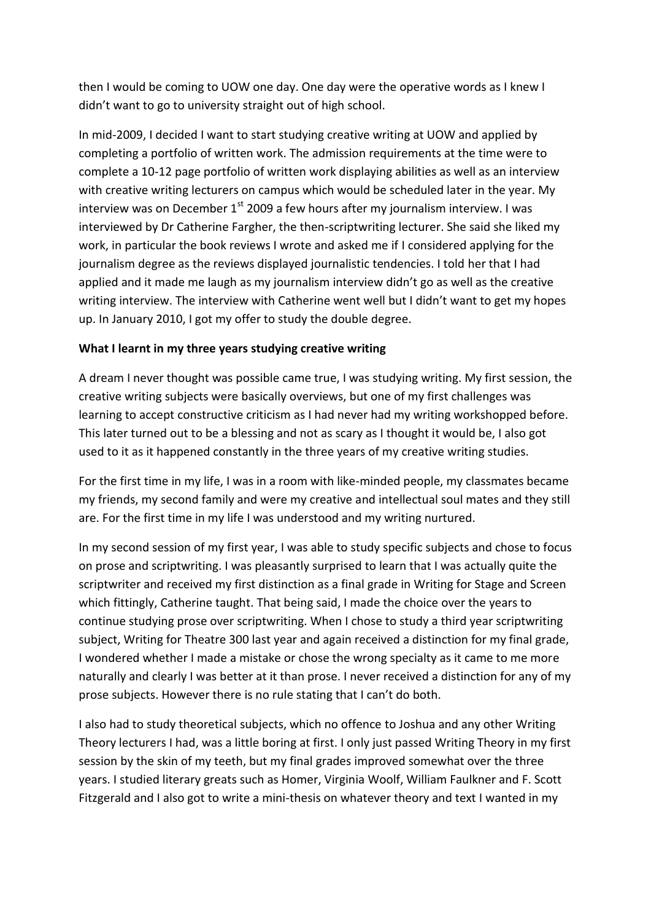then I would be coming to UOW one day. One day were the operative words as I knew I didn't want to go to university straight out of high school.

In mid-2009, I decided I want to start studying creative writing at UOW and applied by completing a portfolio of written work. The admission requirements at the time were to complete a 10-12 page portfolio of written work displaying abilities as well as an interview with creative writing lecturers on campus which would be scheduled later in the year. My interview was on December  $1<sup>st</sup>$  2009 a few hours after my journalism interview. I was interviewed by Dr Catherine Fargher, the then-scriptwriting lecturer. She said she liked my work, in particular the book reviews I wrote and asked me if I considered applying for the journalism degree as the reviews displayed journalistic tendencies. I told her that I had applied and it made me laugh as my journalism interview didn't go as well as the creative writing interview. The interview with Catherine went well but I didn't want to get my hopes up. In January 2010, I got my offer to study the double degree.

### **What I learnt in my three years studying creative writing**

A dream I never thought was possible came true, I was studying writing. My first session, the creative writing subjects were basically overviews, but one of my first challenges was learning to accept constructive criticism as I had never had my writing workshopped before. This later turned out to be a blessing and not as scary as I thought it would be, I also got used to it as it happened constantly in the three years of my creative writing studies.

For the first time in my life, I was in a room with like-minded people, my classmates became my friends, my second family and were my creative and intellectual soul mates and they still are. For the first time in my life I was understood and my writing nurtured.

In my second session of my first year, I was able to study specific subjects and chose to focus on prose and scriptwriting. I was pleasantly surprised to learn that I was actually quite the scriptwriter and received my first distinction as a final grade in Writing for Stage and Screen which fittingly, Catherine taught. That being said, I made the choice over the years to continue studying prose over scriptwriting. When I chose to study a third year scriptwriting subject, Writing for Theatre 300 last year and again received a distinction for my final grade, I wondered whether I made a mistake or chose the wrong specialty as it came to me more naturally and clearly I was better at it than prose. I never received a distinction for any of my prose subjects. However there is no rule stating that I can't do both.

I also had to study theoretical subjects, which no offence to Joshua and any other Writing Theory lecturers I had, was a little boring at first. I only just passed Writing Theory in my first session by the skin of my teeth, but my final grades improved somewhat over the three years. I studied literary greats such as Homer, Virginia Woolf, William Faulkner and F. Scott Fitzgerald and I also got to write a mini-thesis on whatever theory and text I wanted in my